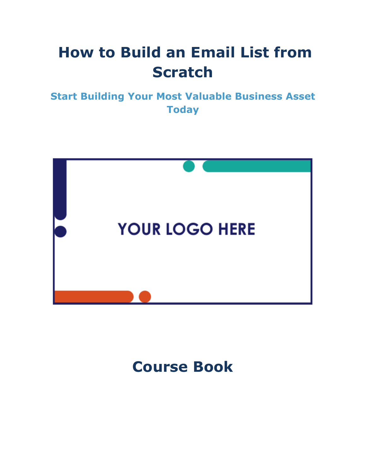# **How to Build an Email List from Scratch**

**Start Building Your Most Valuable Business Asset Today**



**Course Book**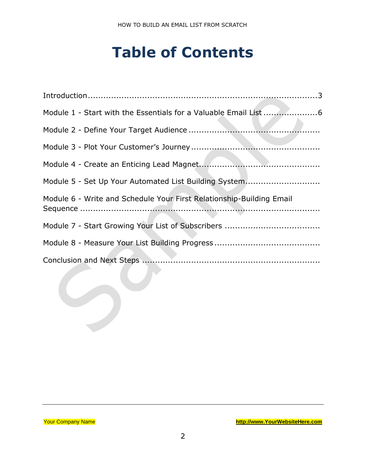## **Table of Contents**

| Module 5 - Set Up Your Automated List Building System                |
|----------------------------------------------------------------------|
| Module 6 - Write and Schedule Your First Relationship-Building Email |
|                                                                      |
|                                                                      |
|                                                                      |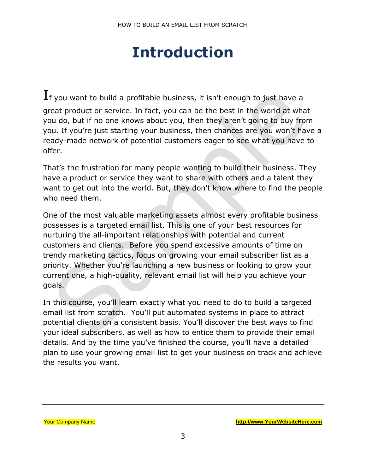## **Introduction**

<span id="page-2-0"></span> ${\rm\,I}$ f you want to build a profitable business, it isn't enough to just have a great product or service. In fact, you can be the best in the world at what you do, but if no one knows about you, then they aren't going to buy from you. If you're just starting your business, then chances are you won't have a ready-made network of potential customers eager to see what you have to offer.

That's the frustration for many people wanting to build their business. They have a product or service they want to share with others and a talent they want to get out into the world. But, they don't know where to find the people who need them.

One of the most valuable marketing assets almost every profitable business possesses is a targeted email list. This is one of your best resources for nurturing the all-important relationships with potential and current customers and clients. Before you spend excessive amounts of time on trendy marketing tactics, focus on growing your email subscriber list as a priority. Whether you're launching a new business or looking to grow your current one, a high-quality, relevant email list will help you achieve your goals.

In this course, you'll learn exactly what you need to do to build a targeted email list from scratch. You'll put automated systems in place to attract potential clients on a consistent basis. You'll discover the best ways to find your ideal subscribers, as well as how to entice them to provide their email details. And by the time you've finished the course, you'll have a detailed plan to use your growing email list to get your business on track and achieve the results you want.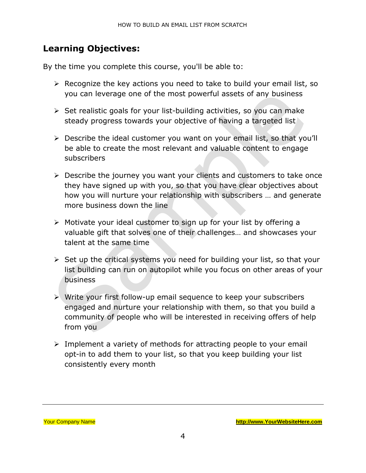### **Learning Objectives:**

By the time you complete this course, you'll be able to:

- ➢ Recognize the key actions you need to take to build your email list, so you can leverage one of the most powerful assets of any business
- $\triangleright$  Set realistic goals for your list-building activities, so you can make steady progress towards your objective of having a targeted list
- ➢ Describe the ideal customer you want on your email list, so that you'll be able to create the most relevant and valuable content to engage subscribers
- ➢ Describe the journey you want your clients and customers to take once they have signed up with you, so that you have clear objectives about how you will nurture your relationship with subscribers … and generate more business down the line
- ➢ Motivate your ideal customer to sign up for your list by offering a valuable gift that solves one of their challenges… and showcases your talent at the same time
- ➢ Set up the critical systems you need for building your list, so that your list building can run on autopilot while you focus on other areas of your business
- ➢ Write your first follow-up email sequence to keep your subscribers engaged and nurture your relationship with them, so that you build a community of people who will be interested in receiving offers of help from you
- ➢ Implement a variety of methods for attracting people to your email opt-in to add them to your list, so that you keep building your list consistently every month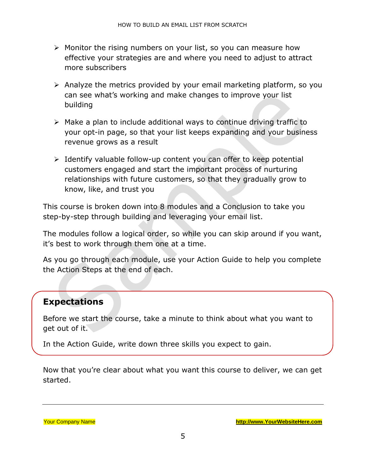- ➢ Monitor the rising numbers on your list, so you can measure how effective your strategies are and where you need to adjust to attract more subscribers
- ➢ Analyze the metrics provided by your email marketing platform, so you can see what's working and make changes to improve your list building
- ➢ Make a plan to include additional ways to continue driving traffic to your opt-in page, so that your list keeps expanding and your business revenue grows as a result
- ➢ Identify valuable follow-up content you can offer to keep potential customers engaged and start the important process of nurturing relationships with future customers, so that they gradually grow to know, like, and trust you

This course is broken down into 8 modules and a Conclusion to take you step-by-step through building and leveraging your email list.

The modules follow a logical order, so while you can skip around if you want, it's best to work through them one at a time.

As you go through each module, use your Action Guide to help you complete the Action Steps at the end of each.

#### **Expectations**

Before we start the course, take a minute to think about what you want to get out of it.

In the Action Guide, write down three skills you expect to gain.

Now that you're clear about what you want this course to deliver, we can get started.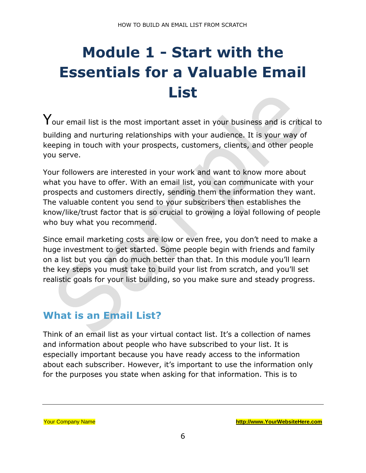# <span id="page-5-0"></span>**Module 1 - Start with the Essentials for a Valuable Email List**

 $\mathsf{Y}_{\mathsf{our}}$  email list is the most important asset in your business and is critical to building and nurturing relationships with your audience. It is your way of keeping in touch with your prospects, customers, clients, and other people you serve.

Your followers are interested in your work and want to know more about what you have to offer. With an email list, you can communicate with your prospects and customers directly, sending them the information they want. The valuable content you send to your subscribers then establishes the know/like/trust factor that is so crucial to growing a loyal following of people who buy what you recommend.

Since email marketing costs are low or even free, you don't need to make a huge investment to get started. Some people begin with friends and family on a list but you can do much better than that. In this module you'll learn the key steps you must take to build your list from scratch, and you'll set realistic goals for your list building, so you make sure and steady progress.

## **What is an Email List?**

Think of an email list as your virtual contact list. It's a collection of names and information about people who have subscribed to your list. It is especially important because you have ready access to the information about each subscriber. However, it's important to use the information only for the purposes you state when asking for that information. This is to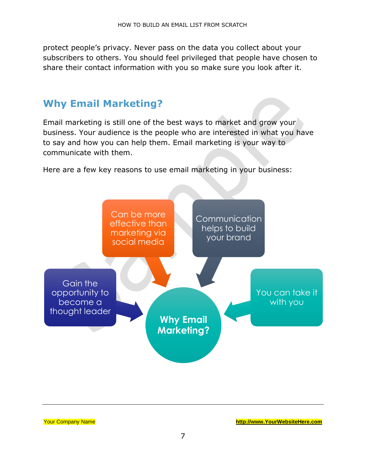protect people's privacy. Never pass on the data you collect about your subscribers to others. You should feel privileged that people have chosen to share their contact information with you so make sure you look after it.

## **Why Email Marketing?**

Email marketing is still one of the best ways to market and grow your business. Your audience is the people who are interested in what you have to say and how you can help them. Email marketing is your way to communicate with them.

Here are a few key reasons to use email marketing in your business:



| <b>Your Company Name</b> |  |
|--------------------------|--|
|--------------------------|--|